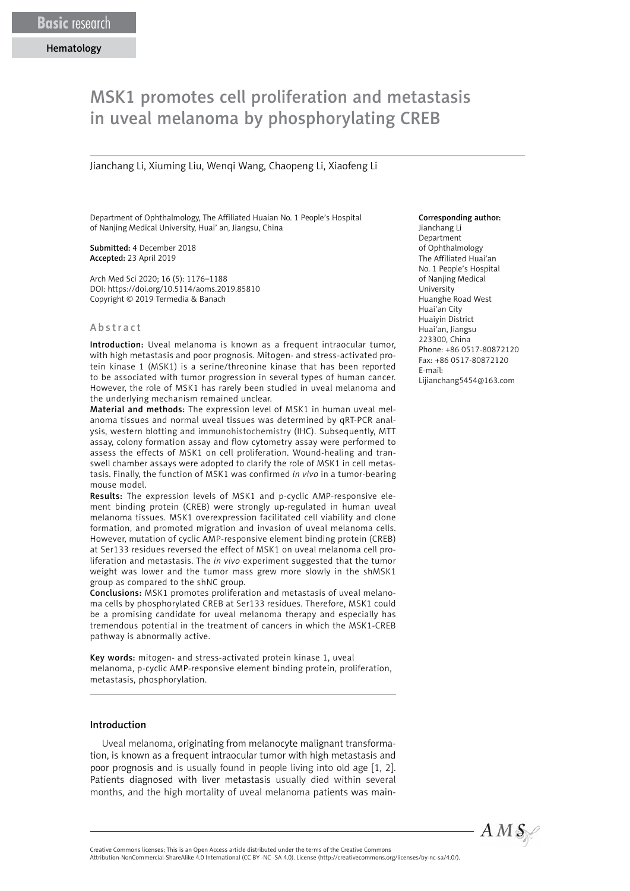# MSK1 promotes cell proliferation and metastasis in uveal melanoma by phosphorylating CREB

Jianchang Li, Xiuming Liu, Wenqi Wang, Chaopeng Li, Xiaofeng Li

Department of Ophthalmology, The Affiliated Huaian No. 1 People's Hospital of Nanjing Medical University, Huai' an, Jiangsu, China

Submitted: 4 December 2018 Accepted: 23 April 2019

Arch Med Sci 2020; 16 (5): 1176–1188 DOI: https://doi.org/10.5114/aoms.2019.85810 Copyright © 2019 Termedia & Banach

#### Abstract

Introduction: Uveal melanoma is known as a frequent intraocular tumor. with high metastasis and poor prognosis. Mitogen- and stress-activated protein kinase 1 (MSK1) is a serine/threonine kinase that has been reported to be associated with tumor progression in several types of human cancer. However, the role of MSK1 has rarely been studied in uveal melanoma and the underlying mechanism remained unclear.

Material and methods: The expression level of MSK1 in human uveal melanoma tissues and normal uveal tissues was determined by qRT-PCR analysis, western blotting and immunohistochemistry (IHC). Subsequently, MTT assay, colony formation assay and flow cytometry assay were performed to assess the effects of MSK1 on cell proliferation. Wound-healing and transwell chamber assays were adopted to clarify the role of MSK1 in cell metastasis. Finally, the function of MSK1 was confirmed *in vivo* in a tumor-bearing mouse model.

Results: The expression levels of MSK1 and p-cyclic AMP-responsive element binding protein (CREB) were strongly up-regulated in human uveal melanoma tissues. MSK1 overexpression facilitated cell viability and clone formation, and promoted migration and invasion of uveal melanoma cells. However, mutation of cyclic AMP-responsive element binding protein (CREB) at Ser133 residues reversed the effect of MSK1 on uveal melanoma cell proliferation and metastasis. The *in vivo* experiment suggested that the tumor weight was lower and the tumor mass grew more slowly in the shMSK1 group as compared to the shNC group.

Conclusions: MSK1 promotes proliferation and metastasis of uveal melanoma cells by phosphorylated CREB at Ser133 residues. Therefore, MSK1 could be a promising candidate for uveal melanoma therapy and especially has [tremendous](file:///D:/Prace/AMS%20manuscript%20accepted/tekst/2019/javascript:;) potential in the treatment of cancers in which the MSK1-CREB pathway is abnormally active.

Key words: mitogen- and stress-activated protein kinase 1, uveal melanoma, p-cyclic AMP-responsive element binding protein, proliferation, metastasis, phosphorylation.

#### Introduction

Uveal melanoma, originating from melanocyte malignant transformation, is known as a frequent intraocular tumor with high metastasis and poor prognosis and is usually found in people living into old age [1, 2]. Patients diagnosed with liver metastasis usually died within several months, and the high mortality of uveal melanoma patients was main-

#### Corresponding author:

Jianchang Li Department of Ophthalmology The Affiliated Huai'an No. 1 People's Hospital of Nanjing Medical University Huanghe Road West Huai'an City Huaiyin District Huai'an, Jiangsu 223300, China Phone: +86 0517-80872120 Fax: +86 0517-80872120 E-mail: [Lijianchang5454@163.com](mailto:Lijianchang5454@163.com)



Attribution-NonCommercial-ShareAlike 4.0 International (CC BY -NC -SA 4.0). License (http://creativecommons.org/licenses/by-nc-sa/4.0/).

Creative Commons licenses: This is an Open Access article distributed under the terms of the Creative Commons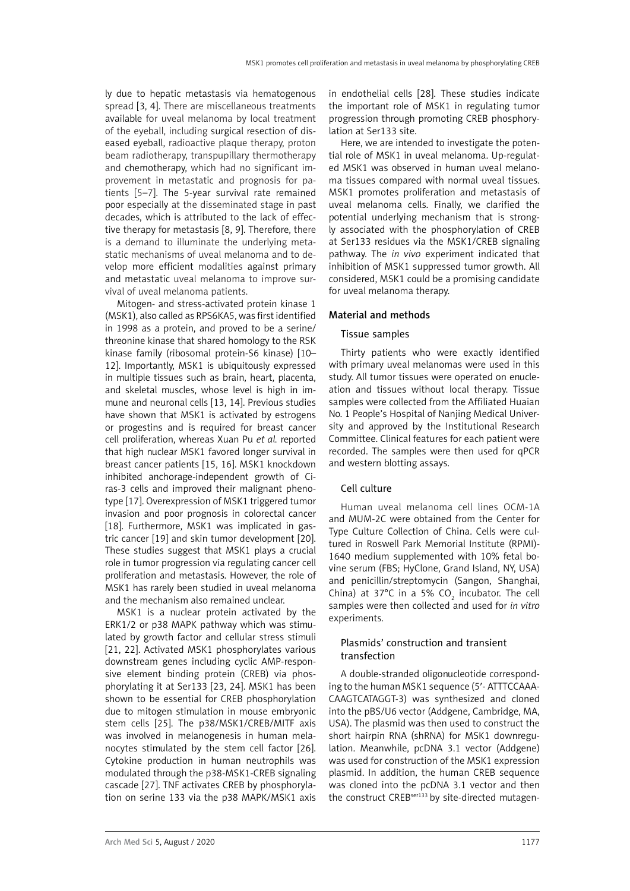ly due to hepatic metastasis via hematogenous spread [3, 4]. There are miscellaneous treatments available for uveal melanoma by local treatment of the eyeball, including surgical resection of diseased eyeball, radioactive plaque therapy, proton beam radiotherapy, transpupillary thermotherapy and chemotherapy, which had no significant improvement in metastatic and prognosis for patients [5–7]. The 5-year survival rate remained poor especially at the disseminated stage in past decades, which is attributed to the lack of effective therapy for metastasis [8, 9]. Therefore, there is a demand to illuminate the underlying metastatic mechanisms of uveal melanoma and to develop more efficient modalities against primary and metastatic uveal melanoma to improve survival of uveal melanoma patients.

Mitogen- and stress-activated protein kinase 1 (MSK1), also called as RPS6KA5, was first identified in 1998 as a protein, and proved to be a serine/ threonine kinase that shared homology to the RSK kinase family (ribosomal protein-S6 kinase) [10– 12]. Importantly, MSK1 is ubiquitously expressed in multiple tissues such as brain, heart, placenta, and skeletal muscles, whose level is high in immune and neuronal cells [13, 14]. Previous studies have shown that MSK1 is activated by estrogens or progestins and is required for breast cancer cell proliferation, whereas Xuan Pu *et al.* reported that high nuclear MSK1 favored longer survival in breast cancer patients [15, 16]. MSK1 knockdown inhibited anchorage-independent growth of Ciras-3 cells and improved their malignant phenotype [17]. Overexpression of MSK1 triggered tumor invasion and poor prognosis in colorectal cancer [18]. Furthermore, MSK1 was implicated in gastric cancer [19] and skin tumor development [20]. These studies suggest that MSK1 plays a crucial role in tumor progression via regulating cancer cell proliferation and metastasis. However, the role of MSK1 has rarely been studied in uveal melanoma and the mechanism also remained unclear.

MSK1 is a nuclear protein activated by the ERK1/2 or p38 MAPK pathway which was stimulated by growth factor and cellular stress stimuli [21, 22]. Activated MSK1 phosphorylates various downstream genes including cyclic AMP-responsive element binding protein (CREB) via phosphorylating it at Ser133 [23, 24]. MSK1 has been shown to be essential for CREB phosphorylation due to mitogen stimulation in mouse embryonic stem cells [25]. The p38/MSK1/CREB/MITF axis was involved in melanogenesis in human melanocytes stimulated by the stem cell factor [26]. Cytokine production in human neutrophils was modulated through the p38-MSK1-CREB signaling cascade [27]. TNF activates CREB by phosphorylation on serine 133 via the p38 MAPK/MSK1 axis in endothelial cells [28]. These studies indicate the important role of MSK1 in regulating tumor progression through promoting CREB phosphorylation at Ser133 site.

Here, we are intended to investigate the potential role of MSK1 in uveal melanoma. Up-regulated MSK1 was observed in human uveal melanoma tissues compared with normal uveal tissues. MSK1 promotes proliferation and metastasis of uveal melanoma cells. Finally, we clarified the potential underlying mechanism that is strongly associated with the phosphorylation of CREB at Ser133 residues via the MSK1/CREB signaling pathway. The *in vivo* experiment indicated that inhibition of MSK1 suppressed tumor growth. All considered, MSK1 could be a promising candidate for uveal melanoma therapy.

#### Material and methods

## Tissue samples

Thirty patients who were exactly identified with primary uveal melanomas were used in this study. All tumor tissues were operated on enucleation and tissues without local therapy. Tissue samples were collected from the Affiliated Huaian No. 1 People's Hospital of Nanjing Medical University and approved by the Institutional Research Committee. Clinical features for each patient were recorded. The samples were then used for qPCR and western blotting assays.

#### Cell culture

Human uveal melanoma cell lines OCM-1A and MUM-2C were obtained from the Center for Type Culture Collection of China. Cells were cultured in Roswell Park Memorial Institute (RPMI)- 1640 medium supplemented with 10% fetal bovine serum (FBS; HyClone, Grand Island, NY, USA) and penicillin/streptomycin (Sangon, Shanghai, China) at 37°C in a 5% CO<sub>2</sub> incubator. The cell samples were then collected and used for *in vitro* experiments.

## Plasmids' construction and transient transfection

A double-stranded oligonucleotide corresponding to the human MSK1 sequence (5′- ATTTCCAAA-CAAGTCATAGGT-3) was synthesized and cloned into the pBS/U6 vector (Addgene, Cambridge, MA, USA). The plasmid was then used to construct the short hairpin RNA (shRNA) for MSK1 downregulation. Meanwhile, pcDNA 3.1 vector (Addgene) was used for construction of the MSK1 expression plasmid. In addition, the human CREB sequence was cloned into the pcDNA 3.1 vector and then the construct CREB<sup>ser133</sup> by site-directed mutagen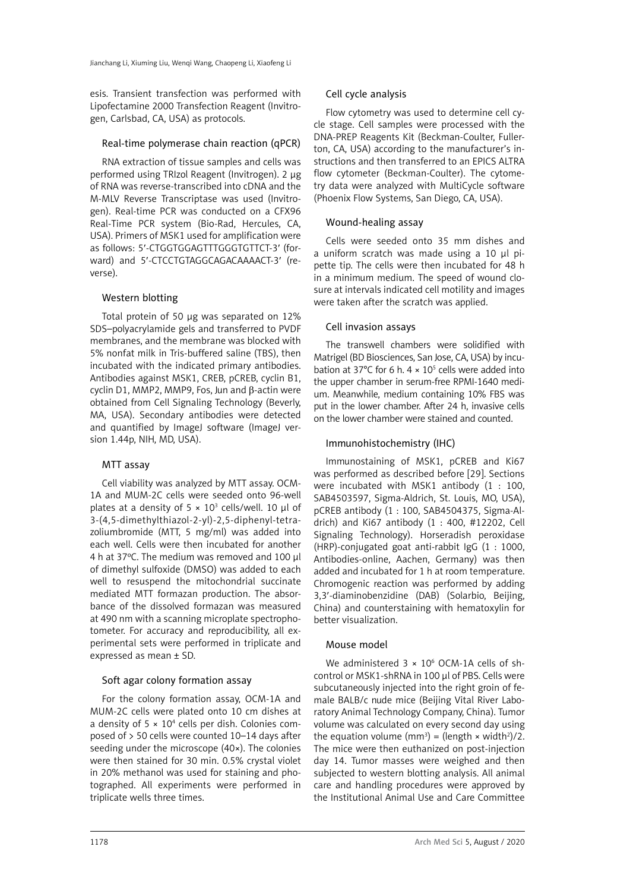esis. Transient transfection was performed with Lipofectamine 2000 Transfection Reagent (Invitrogen, Carlsbad, CA, USA) as protocols.

#### Real-time polymerase chain reaction (qPCR)

RNA extraction of tissue samples and cells was performed using TRIzol Reagent (Invitrogen). 2 μg of RNA was reverse-transcribed into cDNA and the M-MLV Reverse Transcriptase was used (Invitrogen). Real-time PCR was conducted on a CFX96 Real-Time PCR system (Bio-Rad, Hercules, CA, USA). Primers of MSK1 used for amplification were as follows: 5′-CTGGTGGAGTTTGGGTGTTCT-3′ (forward) and 5′-CTCCTGTAGGCAGACAAAACT-3′ (reverse).

## Western blotting

Total protein of 50 µg was separated on 12% SDS–polyacrylamide gels and transferred to PVDF membranes, and the membrane was blocked with 5% nonfat milk in Tris-buffered saline (TBS), then incubated with the indicated primary antibodies. Antibodies against MSK1, CREB, pCREB, cyclin B1, cyclin D1, MMP2, MMP9, Fos, Jun and β-actin were obtained from Cell Signaling Technology (Beverly, MA, USA). Secondary antibodies were detected and quantified by ImageJ software (ImageJ version 1.44p, NIH, MD, USA).

# MTT assay

Cell viability was analyzed by MTT assay. OCM-1A and MUM-2C cells were seeded onto 96-well plates at a density of  $5 \times 10^3$  cells/well. 10 µl of 3-(4,5-dimethylthiazol-2-yl)-2,5-diphenyl-tetrazoliumbromide (MTT, 5 mg/ml) was added into each well. Cells were then incubated for another 4 h at 37ºC. The medium was removed and 100 μl of dimethyl sulfoxide (DMSO) was added to each well to resuspend the mitochondrial succinate mediated MTT formazan production. The absorbance of the dissolved formazan was measured at 490 nm with a scanning microplate spectrophotometer. For accuracy and reproducibility, all experimental sets were performed in triplicate and expressed as mean ± SD.

## Soft agar colony formation assay

For the colony formation assay, OCM-1A and MUM-2C cells were plated onto 10 cm dishes at a density of  $5 \times 10^4$  cells per dish. Colonies composed of > 50 cells were counted 10–14 days after seeding under the microscope (40×). The colonies were then stained for 30 min. 0.5% crystal violet in 20% methanol was used for staining and photographed. All experiments were performed in triplicate wells three times.

## Cell cycle analysis

Flow cytometry was used to determine cell cycle stage. Cell samples were processed with the DNA-PREP Reagents Kit (Beckman-Coulter, Fullerton, CA, USA) according to the manufacturer's instructions and then transferred to an EPICS ALTRA flow cytometer (Beckman-Coulter). The cytometry data were analyzed with MultiCycle software (Phoenix Flow Systems, San Diego, CA, USA).

## Wound-healing assay

Cells were seeded onto 35 mm dishes and a uniform scratch was made using a 10 μl pipette tip. The cells were then incubated for 48 h in a minimum medium. The speed of wound closure at intervals indicated cell motility and images were taken after the scratch was applied.

## Cell invasion assays

The transwell chambers were solidified with Matrigel (BD Biosciences, San Jose, CA, USA) by incubation at 37°C for 6 h.  $4 \times 10^5$  cells were added into the upper chamber in serum-free RPMI-1640 medium. Meanwhile, medium containing 10% FBS was put in the lower chamber. After 24 h, invasive cells on the lower chamber were stained and counted.

# Immunohistochemistry (IHC)

Immunostaining of MSK1, pCREB and Ki67 was performed as described before [29]. Sections were incubated with MSK1 antibody (1 : 100, SAB4503597, Sigma-Aldrich, St. Louis, MO, USA), pCREB antibody (1 : 100, SAB4504375, Sigma-Aldrich) and Ki67 antibody (1 : 400, #12202, Cell Signaling Technology). Horseradish peroxidase (HRP)-conjugated goat anti-rabbit IgG (1 : 1000, Antibodies-online, Aachen, Germany) was then added and incubated for 1 h at room temperature. Chromogenic reaction was performed by adding 3,3′-diaminobenzidine (DAB) (Solarbio, Beijing, China) and counterstaining with hematoxylin for better visualization.

## Mouse model

We administered  $3 \times 10^6$  OCM-1A cells of shcontrol or MSK1-shRNA in 100 μl of PBS. Cells were subcutaneously injected into the right groin of female BALB/c nude mice (Beijing Vital River Laboratory Animal Technology Company, China). Tumor volume was calculated on every second day using the equation volume  $(mm^3)$  = (length  $\times$  width<sup>2</sup>)/2. The mice were then euthanized on post-injection day 14. Tumor masses were weighed and then subjected to western blotting analysis. All animal care and handling procedures were approved by the Institutional Animal Use and Care Committee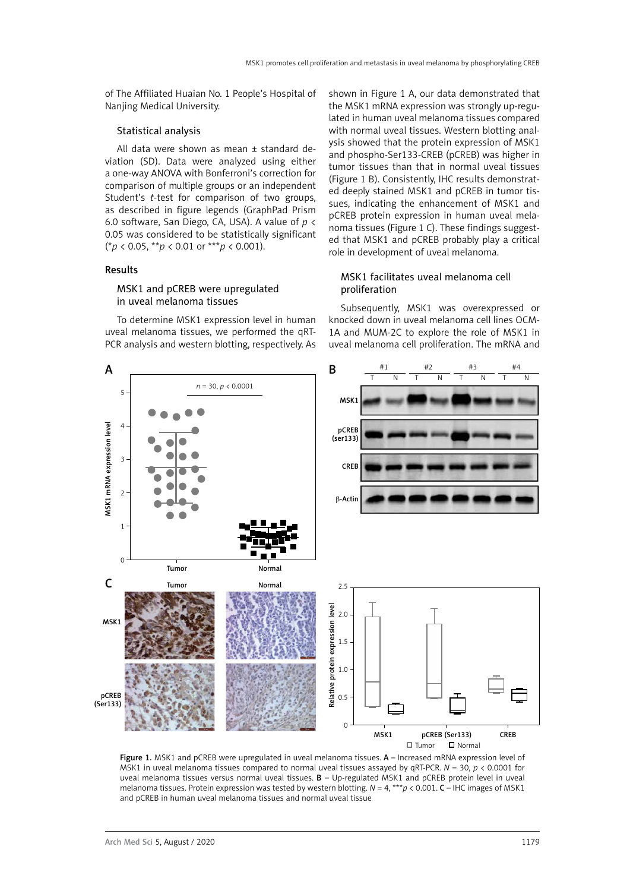of The Affiliated Huaian No. 1 People's Hospital of Nanjing Medical University.

#### Statistical analysis

All data were shown as mean ± standard deviation (SD). Data were analyzed using either a one-way ANOVA with Bonferroni's correction for comparison of multiple groups or an independent Student's *t-*test for comparison of two groups, as described in figure legends (GraphPad Prism 6.0 software, San Diego, CA, USA). A value of *p* < 0.05 was considered to be statistically significant (\**p* < 0.05, \*\**p* < 0.01 or \*\*\**p* < 0.001).

#### Results

## MSK1 and pCREB were upregulated in uveal melanoma tissues

To determine MSK1 expression level in human uveal melanoma tissues, we performed the qRT-PCR analysis and western blotting, respectively. As

shown in Figure 1 A, our data demonstrated that the MSK1 mRNA expression was strongly up-regulated in human uveal melanoma tissues compared with normal uveal tissues. Western blotting analysis showed that the protein expression of MSK1 and phospho-Ser133-CREB (pCREB) was higher in tumor tissues than that in normal uveal tissues (Figure 1 B). Consistently, IHC results demonstrated deeply stained MSK1 and pCREB in tumor tissues, indicating the enhancement of MSK1 and pCREB protein expression in human uveal melanoma tissues (Figure 1 C). These findings suggested that MSK1 and pCREB probably play a critical role in development of uveal melanoma.

## MSK1 facilitates uveal melanoma cell proliferation

Subsequently, MSK1 was overexpressed or knocked down in uveal melanoma cell lines OCM-1A and MUM-2C to explore the role of MSK1 in uveal melanoma cell proliferation. The mRNA and



Figure 1. MSK1 and pCREB were upregulated in uveal melanoma tissues. A – Increased mRNA expression level of MSK1 in uveal melanoma tissues compared to normal uveal tissues assayed by qRT-PCR. *N* = 30, *p* < 0.0001 for uveal melanoma tissues versus normal uveal tissues.  $B - Up$ -regulated MSK1 and pCREB protein level in uveal melanoma tissues. Protein expression was tested by western blotting. *N* = 4, \*\*\**p* < 0.001. C – IHC images of MSK1 and pCREB in human uveal melanoma tissues and normal uveal tissue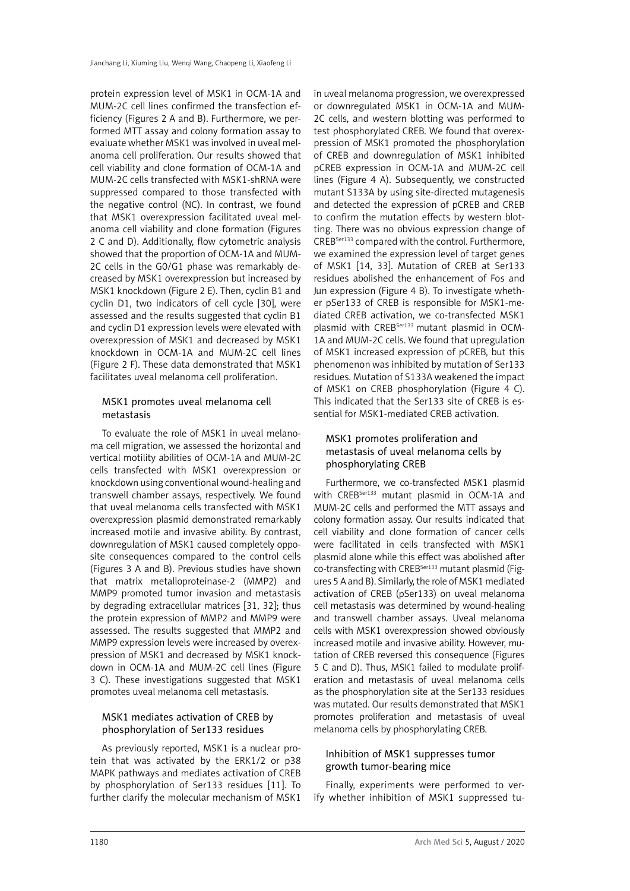protein expression level of MSK1 in OCM-1A and MUM-2C cell lines confirmed the transfection efficiency (Figures 2 A and B). Furthermore, we performed MTT assay and colony formation assay to evaluate whether MSK1 was involved in uveal melanoma cell proliferation. Our results showed that cell viability and clone formation of OCM-1A and MUM-2C cells transfected with MSK1-shRNA were suppressed compared to those transfected with the negative control (NC). In contrast, we found that MSK1 overexpression facilitated uveal melanoma cell viability and clone formation (Figures 2 C and D). Additionally, flow cytometric analysis showed that the proportion of OCM-1A and MUM-2C cells in the G0/G1 phase was remarkably decreased by MSK1 overexpression but increased by MSK1 knockdown (Figure 2 E). Then, cyclin B1 and cyclin D1, two indicators of cell cycle [30], were assessed and the results suggested that cyclin B1 and cyclin D1 expression levels were elevated with overexpression of MSK1 and decreased by MSK1 knockdown in OCM-1A and MUM-2C cell lines (Figure 2 F). These data demonstrated that MSK1 facilitates uveal melanoma cell proliferation.

## MSK1 promotes uveal melanoma cell metastasis

To evaluate the role of MSK1 in uveal melanoma cell migration, we assessed the horizontal and vertical motility abilities of OCM-1A and MUM-2C cells transfected with MSK1 overexpression or knockdown using conventional wound-healing and transwell chamber assays, respectively. We found that uveal melanoma cells transfected with MSK1 overexpression plasmid demonstrated remarkably increased motile and invasive ability. By contrast, downregulation of MSK1 caused completely opposite consequences compared to the control cells (Figures 3 A and B). Previous studies have shown that matrix metalloproteinase-2 (MMP2) and MMP9 promoted tumor invasion and metastasis by degrading extracellular matrices [31, 32]; thus the protein expression of MMP2 and MMP9 were assessed. The results suggested that MMP2 and MMP9 expression levels were increased by overexpression of MSK1 and decreased by MSK1 knockdown in OCM-1A and MUM-2C cell lines (Figure 3 C). These investigations suggested that MSK1 promotes uveal melanoma cell metastasis.

## MSK1 mediates activation of CREB by phosphorylation of Ser133 residues

As previously reported, MSK1 is a nuclear protein that was activated by the ERK1/2 or p38 MAPK pathways and mediates activation of CREB by phosphorylation of Ser133 residues [11]. To further clarify the molecular mechanism of MSK1 in uveal melanoma progression, we overexpressed or downregulated MSK1 in OCM-1A and MUM-2C cells, and western blotting was performed to test phosphorylated CREB. We found that overexpression of MSK1 promoted the phosphorylation of CREB and downregulation of MSK1 inhibited pCREB expression in OCM-1A and MUM-2C cell lines (Figure 4 A). Subsequently, we constructed mutant S133A by using site-directed mutagenesis and detected the expression of pCREB and CREB to confirm the mutation effects by western blotting. There was no obvious expression change of CREBSer133 compared with the control. Furthermore, we examined the expression level of target genes of MSK1 [14, 33]. Mutation of CREB at Ser133 residues abolished the enhancement of Fos and Jun expression (Figure 4 B). To investigate whether pSer133 of CREB is responsible for MSK1-mediated CREB activation, we co-transfected MSK1 plasmid with CREB<sup>Ser133</sup> mutant plasmid in OCM-1A and MUM-2C cells. We found that upregulation of MSK1 increased expression of pCREB, but this phenomenon was inhibited by mutation of Ser133 residues. Mutation of S133A weakened the impact of MSK1 on CREB [phosphorylation](file:///D:/Prace/AMS%20manuscript%20accepted/tekst/2019/javascript:;) (Figure 4 C). This indicated that the Ser133 site of CREB is essential for MSK1-mediated CREB activation.

# MSK1 promotes proliferation and metastasis of uveal melanoma cells by phosphorylating CREB

Furthermore, we co-transfected MSK1 plasmid with CREB<sup>Ser133</sup> mutant plasmid in OCM-1A and MUM-2C cells and performed the MTT assays and colony formation assay. Our results indicated that cell viability and clone formation of cancer cells were facilitated in cells transfected with MSK1 plasmid alone while this effect was abolished after co-transfecting with CREB<sup>Ser133</sup> mutant plasmid (Figures 5 A and B). Similarly, the role of MSK1 mediated activation of CREB (pSer133) on uveal melanoma cell metastasis was determined by wound-healing and transwell chamber assays. Uveal melanoma cells with MSK1 overexpression showed obviously increased motile and invasive ability. However, mutation of CREB reversed this consequence (Figures 5 C and D). Thus, MSK1 failed to modulate proliferation and metastasis of uveal melanoma cells as the phosphorylation site at the Ser133 residues was mutated. Our results demonstrated that MSK1 promotes proliferation and metastasis of uveal melanoma cells by phosphorylating CREB.

## Inhibition of MSK1 suppresses tumor growth tumor-bearing mice

Finally, experiments were performed to verify whether inhibition of MSK1 suppressed tu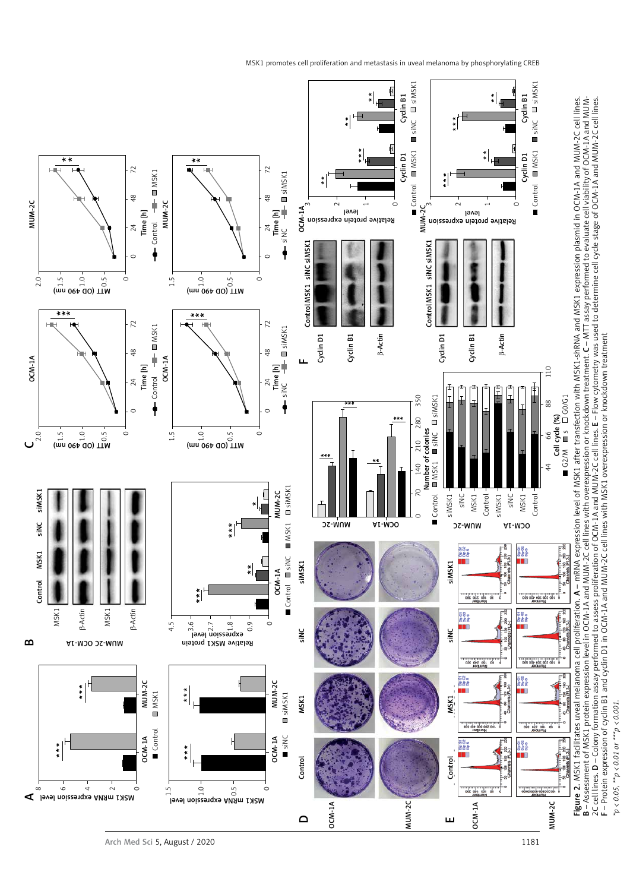MSK1 promotes cell proliferation and metastasis in uveal melanoma by phosphorylating CREB



F – Protein expression of cyclin B1 and cyclin D1 in OCM-1A and MUM-2C cell lines with MSK1 overexpression or knockdown treatment  $25 \times 0.05$ ,  $45 \times 0.01$  or  $45 \times 0.001$ *\*p < 0.05, \*\*p < 0.01 or \*\*\*p < 0.001.*

2C cell lines. D – Colony formation assay performed to assess proliferation of OCM-1A and MUM-2C cell lines. E – Flow cytometry was used to determine cell cycle stage of OCM-1A and MUM-2C cell lines.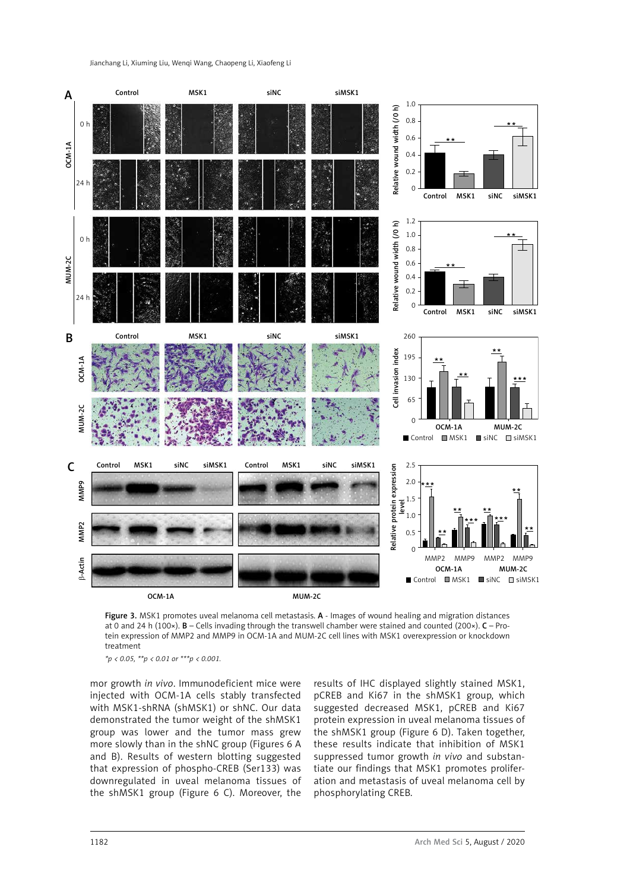

Figure 3. MSK1 promotes uveal melanoma cell metastasis. A - Images of wound healing and migration distances at 0 and 24 h (100×). B – Cells invading through the transwell chamber were stained and counted (200×). C – Protein expression of MMP2 and MMP9 in OCM-1A and MUM-2C cell lines with MSK1 overexpression or knockdown treatment

*\*p < 0.05, \*\*p < 0.01 or \*\*\*p < 0.001.*

mor growth *in vivo*. Immunodeficient mice were injected with OCM-1A cells stably transfected with MSK1-shRNA (shMSK1) or shNC. Our data demonstrated the tumor weight of the shMSK1 group was lower and the tumor mass grew more slowly than in the shNC group (Figures 6 A and B). Results of western blotting suggested that expression of phospho-CREB (Ser133) was downregulated in uveal melanoma tissues of the shMSK1 group (Figure 6 C). Moreover, the

results of IHC displayed slightly stained MSK1, pCREB and Ki67 in the shMSK1 group, which suggested decreased MSK1, pCREB and Ki67 protein expression in uveal melanoma tissues of the shMSK1 group (Figure 6 D). Taken together, these results indicate that inhibition of MSK1 suppressed tumor growth *in vivo* and substantiate our findings that MSK1 promotes proliferation and metastasis of uveal melanoma cell by phosphorylating CREB.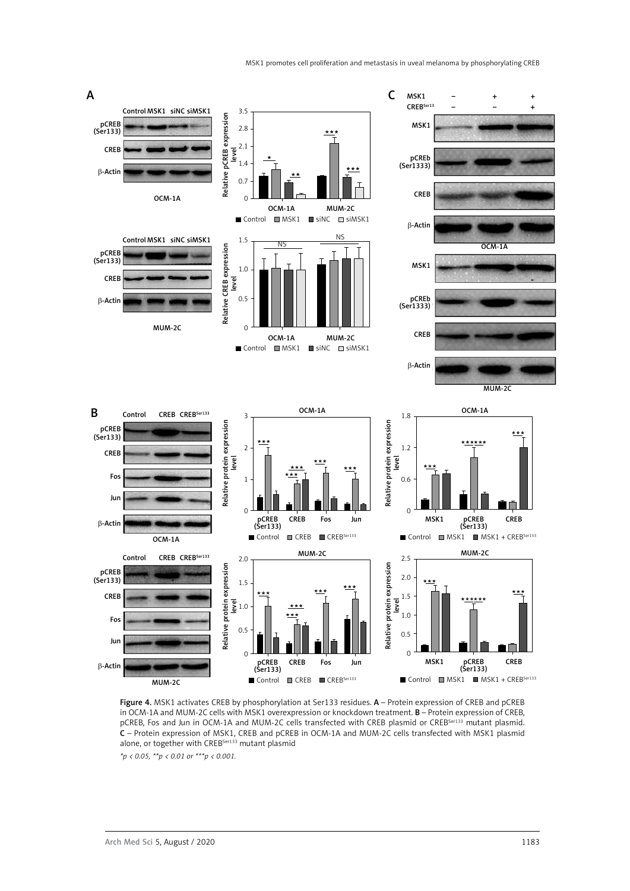

Figure 4. MSK1 activates CREB by phosphorylation at Ser133 residues. A - Protein expression of CREB and pCREB in OCM-1A and MUM-2C cells with MSK1 overexpression or knockdown treatment. B – Protein expression of CREB, pCREB, Fos and Jun in OCM-1A and MUM-2C cells transfected with CREB plasmid or CREB<sup>Ser133</sup> mutant plasmid. C – Protein expression of MSK1, CREB and pCREB in OCM-1A and MUM-2C cells transfected with MSK1 plasmid alone, or together with CREB<sup>Ser133</sup> mutant plasmid

*\*p < 0.05, \*\*p < 0.01 or \*\*\*p < 0.001.*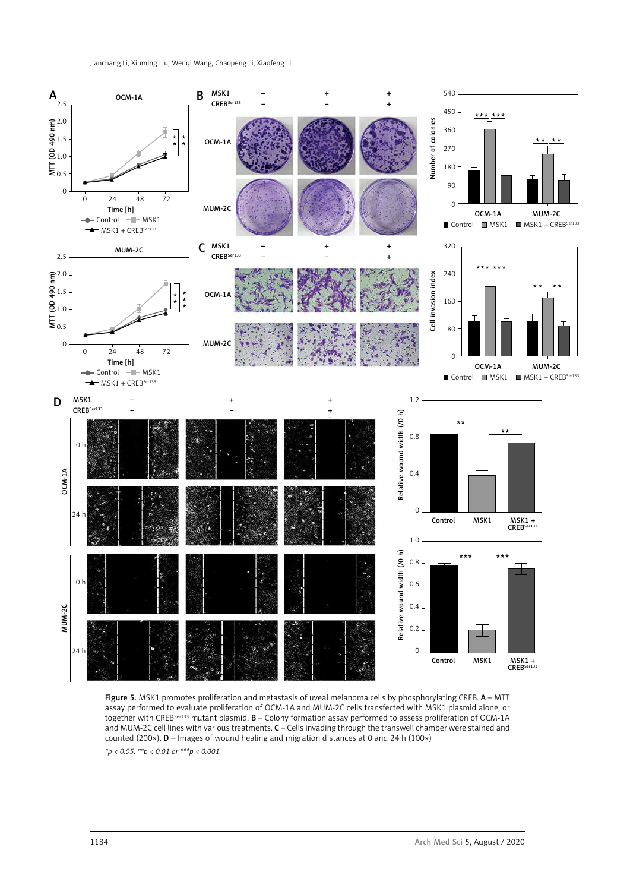Jianchang Li, Xiuming Liu, Wenqi Wang, Chaopeng Li, Xiaofeng Li



Figure 5. MSK1 promotes proliferation and metastasis of uveal melanoma cells by phosphorylating CREB. A - MTT assay performed to evaluate proliferation of OCM-1A and MUM-2C cells transfected with MSK1 plasmid alone, or together with CREB<sup>Ser133</sup> mutant plasmid. **B** – Colony formation assay performed to assess proliferation of OCM-1A and MUM-2C cell lines with various treatments. C – Cells invading through the transwell chamber were stained and counted (200×). D – Images of wound healing and migration distances at 0 and 24 h (100×) *\*p < 0.05, \*\*p < 0.01 or \*\*\*p < 0.001.*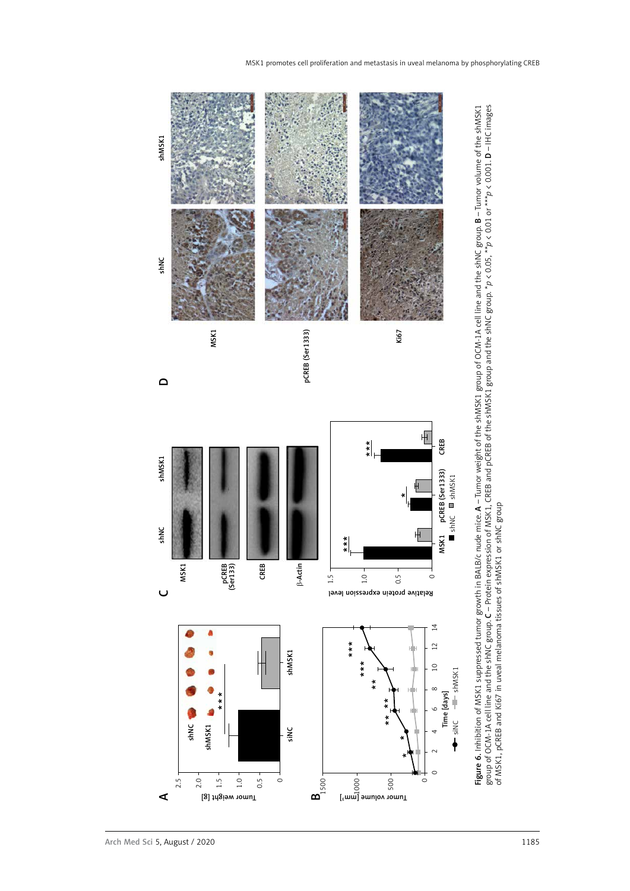

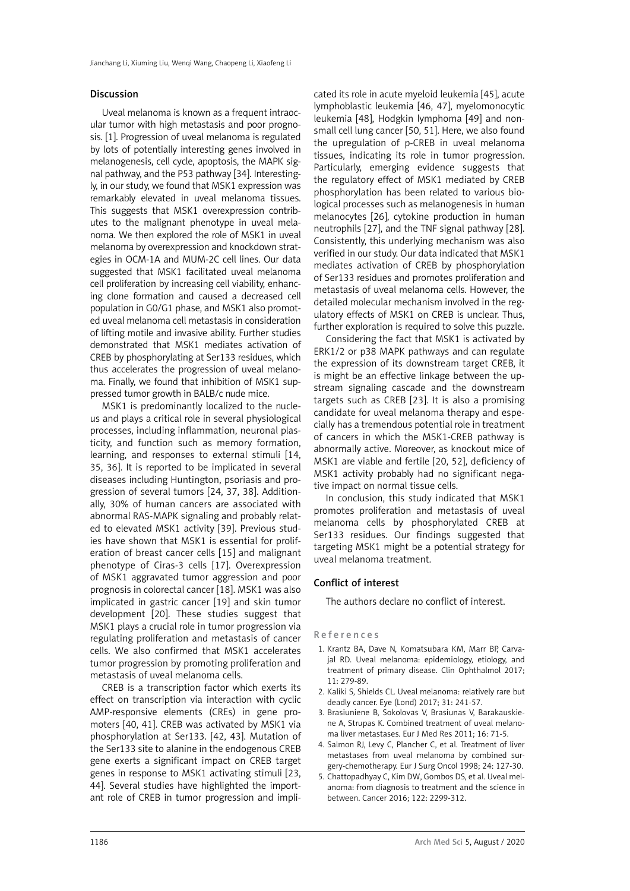#### Discussion

Uveal melanoma is known as a frequent intraocular tumor with high metastasis and poor prognosis. [1]. Progression of uveal melanoma is regulated by lots of potentially interesting genes involved in melanogenesis, cell cycle, apoptosis, the MAPK signal pathway, and the P53 pathway [34]. Interestingly, in our study, we found that MSK1 expression was remarkably elevated in uveal melanoma tissues. This suggests that MSK1 overexpression contributes to the malignant phenotype in uveal melanoma. We then explored the role of MSK1 in uveal melanoma by overexpression and knockdown strategies in OCM-1A and MUM-2C cell lines. Our data suggested that MSK1 facilitated uveal melanoma cell proliferation by increasing cell viability, enhancing clone formation and caused a decreased cell population in G0/G1 phase, and MSK1 also promoted uveal melanoma cell metastasis in consideration of lifting motile and invasive ability. Further studies demonstrated that MSK1 mediates activation of CREB by phosphorylating at Ser133 residues, which thus accelerates the progression of uveal melanoma. Finally, we found that inhibition of MSK1 suppressed tumor growth in BALB/c nude mice.

MSK1 is predominantly localized to the nucleus and plays a critical role in several physiological processes, including inflammation, neuronal plasticity, and function such as memory formation, learning, and responses to external stimuli [14, 35, 36]. It is reported to be implicated in several diseases including Huntington, psoriasis and progression of several tumors [24, 37, 38]. Additionally, 30% of human cancers are associated with abnormal RAS-MAPK signaling and probably related to elevated MSK1 activity [39]. Previous studies have shown that MSK1 is essential for proliferation of breast cancer cells [15] and malignant phenotype of Ciras-3 cells [17]. Overexpression of MSK1 aggravated tumor aggression and poor prognosis in colorectal cancer [18]. MSK1 was also implicated in gastric cancer [19] and skin tumor development [20]. These studies suggest that MSK1 plays a crucial role in tumor progression via regulating proliferation and metastasis of cancer cells. We also confirmed that MSK1 accelerates tumor progression by promoting proliferation and metastasis of uveal melanoma cells.

CREB is a transcription factor which exerts its effect on transcription via interaction with cyclic AMP-responsive elements (CREs) in gene promoters [40, 41]. CREB was activated by MSK1 via phosphorylation at Ser133. [42, 43]. Mutation of the Ser133 site to alanine in the endogenous CREB gene exerts a significant impact on CREB target genes in response to MSK1 activating stimuli [23, 44]. Several studies have highlighted the important role of CREB in tumor progression and impli-

cated its role in acute myeloid leukemia [45], acute lymphoblastic leukemia [46, 47], myelomonocytic leukemia [48], Hodgkin lymphoma [49] and nonsmall cell lung cancer [50, 51]. Here, we also found the upregulation of p-CREB in uveal melanoma tissues, indicating its role in tumor progression. Particularly, emerging evidence suggests that the regulatory effect of MSK1 mediated by CREB phosphorylation has been related to various biological processes such as melanogenesis in human melanocytes [26], cytokine production in human neutrophils [27], and the TNF signal pathway [28]. Consistently, this underlying mechanism was also verified in our study. Our data indicated that MSK1 mediates activation of CREB by phosphorylation of Ser133 residues and promotes proliferation and metastasis of uveal melanoma cells. However, the detailed molecular mechanism involved in the regulatory effects of MSK1 on CREB is unclear. Thus, further exploration is required to solve this puzzle.

Considering the fact that MSK1 is activated by ERK1/2 or p38 MAPK pathways and can regulate the expression of its downstream target CREB, it is might be an effective linkage between the upstream signaling cascade and the downstream targets such as CREB [23]. It is also a promising candidate for uveal melanoma therapy and especially has a tremendous potential role in treatment of cancers in which the MSK1-CREB pathway is abnormally active. Moreover, as knockout mice of MSK1 are viable and fertile [20, 52], deficiency of MSK1 activity probably had no significant negative impact on normal tissue cells.

In conclusion, this study indicated that MSK1 promotes proliferation and metastasis of uveal melanoma cells by phosphorylated CREB at Ser133 residues. Our findings suggested that targeting MSK1 might be a potential strategy for uveal melanoma treatment.

## Conflict of interest

The authors declare no conflict of interest.

#### References

- 1. Krantz BA, Dave N, Komatsubara KM, Marr BP, Carvajal RD. Uveal melanoma: epidemiology, etiology, and treatment of primary disease. Clin Ophthalmol 2017; 11: 279-89.
- 2. Kaliki S, Shields CL. Uveal melanoma: relatively rare but deadly cancer. Eye (Lond) 2017; 31: 241-57.
- 3. Brasiuniene B, Sokolovas V, Brasiunas V, Barakauskiene A, Strupas K. Combined treatment of uveal melanoma liver metastases. Eur J Med Res 2011; 16: 71-5.
- 4. Salmon RJ, Levy C, Plancher C, et al. Treatment of liver metastases from uveal melanoma by combined surgery-chemotherapy. Eur J Surg Oncol 1998; 24: 127-30.
- 5. Chattopadhyay C, Kim DW, Gombos DS, et al. Uveal melanoma: from diagnosis to treatment and the science in between. Cancer 2016; 122: 2299-312.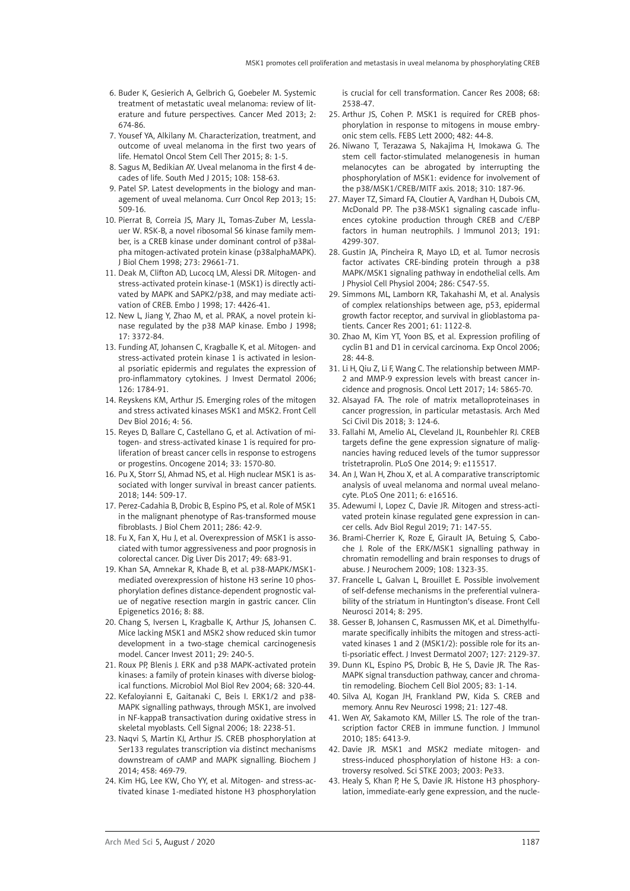- 6. Buder K, Gesierich A, Gelbrich G, Goebeler M. Systemic treatment of metastatic uveal melanoma: review of literature and future perspectives. Cancer Med 2013; 2: 674-86.
- 7. Yousef YA, Alkilany M. Characterization, treatment, and outcome of uveal melanoma in the first two years of life. Hematol Oncol Stem Cell Ther 2015; 8: 1-5.
- 8. Sagus M, Bedikian AY. Uveal melanoma in the first 4 decades of life. South Med J 2015; 108: 158-63.
- 9. Patel SP. Latest developments in the biology and management of uveal melanoma. Curr Oncol Rep 2013; 15: 509-16.
- 10. Pierrat B, Correia JS, Mary JL, Tomas-Zuber M, Lesslauer W. RSK-B, a novel ribosomal S6 kinase family member, is a CREB kinase under dominant control of p38alpha mitogen-activated protein kinase (p38alphaMAPK). J Biol Chem 1998; 273: 29661-71.
- 11. Deak M, Clifton AD, Lucocq LM, Alessi DR. Mitogen- and stress-activated protein kinase-1 (MSK1) is directly activated by MAPK and SAPK2/p38, and may mediate activation of CREB. Embo J 1998; 17: 4426-41.
- 12. New L, Jiang Y, Zhao M, et al. PRAK, a novel protein kinase regulated by the p38 MAP kinase. Embo J 1998; 17: 3372-84.
- 13. Funding AT, Johansen C, Kragballe K, et al. Mitogen- and stress-activated protein kinase 1 is activated in lesional psoriatic epidermis and regulates the expression of pro-inflammatory cytokines. J Invest Dermatol 2006; 126: 1784-91.
- 14. Reyskens KM, Arthur JS. Emerging roles of the mitogen and stress activated kinases MSK1 and MSK2. Front Cell Dev Biol 2016; 4: 56.
- 15. Reyes D, Ballare C, Castellano G, et al. Activation of mitogen- and stress-activated kinase 1 is required for proliferation of breast cancer cells in response to estrogens or progestins. Oncogene 2014; 33: 1570-80.
- 16. Pu X, Storr SJ, Ahmad NS, et al. High nuclear MSK1 is associated with longer survival in breast cancer patients. 2018; 144: 509-17.
- 17. Perez-Cadahia B, Drobic B, Espino PS, et al. Role of MSK1 in the malignant phenotype of Ras-transformed mouse fibroblasts. J Biol Chem 2011; 286: 42-9.
- 18. Fu X, Fan X, Hu J, et al. Overexpression of MSK1 is associated with tumor aggressiveness and poor prognosis in colorectal cancer. Dig Liver Dis 2017; 49: 683-91.
- 19. Khan SA, Amnekar R, Khade B, et al. p38-MAPK/MSK1 mediated overexpression of histone H3 serine 10 phosphorylation defines distance-dependent prognostic value of negative resection margin in gastric cancer. Clin Epigenetics 2016; 8: 88.
- 20. Chang S, Iversen L, Kragballe K, Arthur JS, Johansen C. Mice lacking MSK1 and MSK2 show reduced skin tumor development in a two-stage chemical carcinogenesis model. Cancer Invest 2011; 29: 240-5.
- 21. Roux PP, Blenis J. ERK and p38 MAPK-activated protein kinases: a family of protein kinases with diverse biological functions. Microbiol Mol Biol Rev 2004; 68: 320-44.
- 22. Kefaloyianni E, Gaitanaki C, Beis I. ERK1/2 and p38- MAPK signalling pathways, through MSK1, are involved in NF-kappaB transactivation during oxidative stress in skeletal myoblasts. Cell Signal 2006; 18: 2238-51.
- 23. Naqvi S, Martin KJ, Arthur JS. CREB phosphorylation at Ser133 regulates transcription via distinct mechanisms downstream of cAMP and MAPK signalling. Biochem J 2014; 458: 469-79.
- 24. Kim HG, Lee KW, Cho YY, et al. Mitogen- and stress-activated kinase 1-mediated histone H3 phosphorylation

is crucial for cell transformation. Cancer Res 2008; 68: 2538-47.

- 25. Arthur JS, Cohen P. MSK1 is required for CREB phosphorylation in response to mitogens in mouse embryonic stem cells. FEBS Lett 2000; 482: 44-8.
- 26. Niwano T, Terazawa S, Nakajima H, Imokawa G. The stem cell factor-stimulated melanogenesis in human melanocytes can be abrogated by interrupting the phosphorylation of MSK1: evidence for involvement of the p38/MSK1/CREB/MITF axis. 2018; 310: 187-96.
- 27. Mayer TZ, Simard FA, Cloutier A, Vardhan H, Dubois CM, McDonald PP. The p38-MSK1 signaling cascade influences cytokine production through CREB and C/EBP factors in human neutrophils. J Immunol 2013; 191: 4299-307.
- 28. Gustin JA, Pincheira R, Mayo LD, et al. Tumor necrosis factor activates CRE-binding protein through a p38 MAPK/MSK1 signaling pathway in endothelial cells. Am J Physiol Cell Physiol 2004; 286: C547-55.
- 29. Simmons ML, Lamborn KR, Takahashi M, et al. Analysis of complex relationships between age, p53, epidermal growth factor receptor, and survival in glioblastoma patients. Cancer Res 2001; 61: 1122-8.
- 30. Zhao M, Kim YT, Yoon BS, et al. Expression profiling of cyclin B1 and D1 in cervical carcinoma. Exp Oncol 2006; 28: 44-8.
- 31. Li H, Qiu Z, Li F, Wang C. The relationship between MMP-2 and MMP-9 expression levels with breast cancer incidence and prognosis. Oncol Lett 2017; 14: 5865-70.
- 32. Alsayad FA. The role of matrix metalloproteinases in cancer progression, in particular metastasis. Arch Med Sci Civil Dis 2018; 3: 124-6.
- 33. Fallahi M, Amelio AL, Cleveland JL, Rounbehler RJ. CREB targets define the gene expression signature of malignancies having reduced levels of the tumor suppressor tristetraprolin. PLoS One 2014; 9: e115517.
- 34. An J, Wan H, Zhou X, et al. A comparative transcriptomic analysis of uveal melanoma and normal uveal melanocyte. PLoS One 2011; 6: e16516.
- 35. Adewumi I, Lopez C, Davie JR. Mitogen and stress-activated protein kinase regulated gene expression in cancer cells. Adv Biol Regul 2019; 71: 147-55.
- 36. Brami-Cherrier K, Roze E, Girault JA, Betuing S, Caboche J. Role of the ERK/MSK1 signalling pathway in chromatin remodelling and brain responses to drugs of abuse. J Neurochem 2009; 108: 1323-35.
- 37. Francelle L, Galvan L, Brouillet E. Possible involvement of self-defense mechanisms in the preferential vulnerability of the striatum in Huntington's disease. Front Cell Neurosci 2014; 8: 295.
- 38. Gesser B, Johansen C, Rasmussen MK, et al. Dimethylfumarate specifically inhibits the mitogen and stress-activated kinases 1 and 2 (MSK1/2): possible role for its anti-psoriatic effect. J Invest Dermatol 2007; 127: 2129-37.
- 39. Dunn KL, Espino PS, Drobic B, He S, Davie JR. The Ras-MAPK signal transduction pathway, cancer and chromatin remodeling. Biochem Cell Biol 2005; 83: 1-14.
- 40. Silva AJ, Kogan JH, Frankland PW, Kida S. CREB and memory. Annu Rev Neurosci 1998; 21: 127-48.
- 41. Wen AY, Sakamoto KM, Miller LS. The role of the transcription factor CREB in immune function. J Immunol 2010; 185: 6413-9.
- 42. Davie JR. MSK1 and MSK2 mediate mitogen- and stress-induced phosphorylation of histone H3: a controversy resolved. Sci STKE 2003; 2003: Pe33.
- 43. Healy S, Khan P, He S, Davie JR. Histone H3 phosphorylation, immediate-early gene expression, and the nucle-